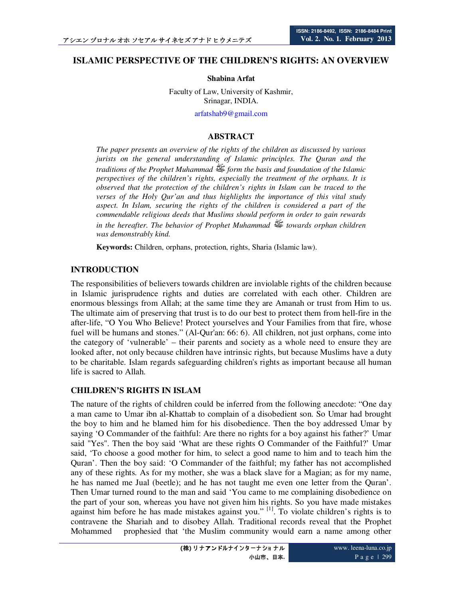# **ISLAMIC PERSPECTIVE OF THE CHILDREN'S RIGHTS: AN OVERVIEW**

#### **Shabina Arfat**

Faculty of Law, University of Kashmir, Srinagar, INDIA.

arfatshab9@gmail.com

#### **ABSTRACT**

*The paper presents an overview of the rights of the children as discussed by various jurists on the general understanding of Islamic principles. The Quran and the traditions of the Prophet Muhammad*  $\mathbb{E}$  *form the basis and foundation of the Islamic perspectives of the children's rights, especially the treatment of the orphans. It is observed that the protection of the children's rights in Islam can be traced to the verses of the Holy Qur'an and thus highlights the importance of this vital study aspect. In Islam, securing the rights of the children is considered a part of the commendable religious deeds that Muslims should perform in order to gain rewards in the hereafter. The behavior of Prophet Muhammad*  $\mathbb{E}$  towards orphan children *was demonstrably kind.* 

**Keywords:** Children, orphans, protection, rights, Sharia (Islamic law).

### **INTRODUCTION**

The responsibilities of believers towards children are inviolable rights of the children because in Islamic jurisprudence rights and duties are correlated with each other. Children are enormous blessings from Allah; at the same time they are Amanah or trust from Him to us. The ultimate aim of preserving that trust is to do our best to protect them from hell-fire in the after-life, "O You Who Believe! Protect yourselves and Your Families from that fire, whose fuel will be humans and stones." (Al-Qur'an: 66: 6). All children, not just orphans, come into the category of 'vulnerable' – their parents and society as a whole need to ensure they are looked after, not only because children have intrinsic rights, but because Muslims have a duty to be charitable. Islam regards safeguarding children's rights as important because all human life is sacred to Allah.

#### **CHILDREN'S RIGHTS IN ISLAM**

The nature of the rights of children could be inferred from the following anecdote: "One day a man came to Umar ibn al-Khattab to complain of a disobedient son. So Umar had brought the boy to him and he blamed him for his disobedience. Then the boy addressed Umar by saying 'O Commander of the faithful: Are there no rights for a boy against his father?' Umar said "Yes". Then the boy said 'What are these rights O Commander of the Faithful?' Umar said, 'To choose a good mother for him, to select a good name to him and to teach him the Quran'. Then the boy said: 'O Commander of the faithful; my father has not accomplished any of these rights. As for my mother, she was a black slave for a Magian; as for my name, he has named me Jual (beetle); and he has not taught me even one letter from the Quran'. Then Umar turned round to the man and said 'You came to me complaining disobedience on the part of your son, whereas you have not given him his rights. So you have made mistakes against him before he has made mistakes against you."  $\left[1\right]$ . To violate children's rights is to contravene the Shariah and to disobey Allah. Traditional records reveal that the Prophet Mohammed prophesied that 'the Muslim community would earn a name among other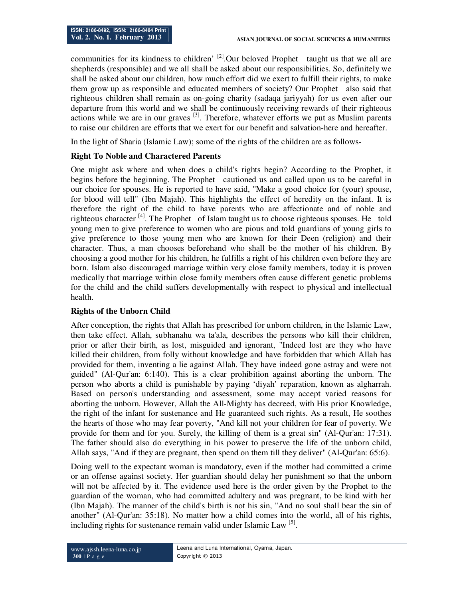communities for its kindness to children'  $^{[2]}$ . Our beloved Prophet taught us that we all are shepherds (responsible) and we all shall be asked about our responsibilities. So, definitely we shall be asked about our children, how much effort did we exert to fulfill their rights, to make them grow up as responsible and educated members of society? Our Prophet also said that righteous children shall remain as on-going charity (sadaqa jariyyah) for us even after our departure from this world and we shall be continuously receiving rewards of their righteous actions while we are in our graves  $^{[3]}$ . Therefore, whatever efforts we put as Muslim parents to raise our children are efforts that we exert for our benefit and salvation-here and hereafter.

In the light of Sharia (Islamic Law); some of the rights of the children are as follows-

# **Right To Noble and Charactered Parents**

One might ask where and when does a child's rights begin? According to the Prophet, it begins before the beginning. The Prophet cautioned us and called upon us to be careful in our choice for spouses. He is reported to have said, "Make a good choice for (your) spouse, for blood will tell" (Ibn Majah). This highlights the effect of heredity on the infant. It is therefore the right of the child to have parents who are affectionate and of noble and righteous character <sup>[4]</sup>. The Prophet of Islam taught us to choose righteous spouses. He told young men to give preference to women who are pious and told guardians of young girls to give preference to those young men who are known for their Deen (religion) and their character. Thus, a man chooses beforehand who shall be the mother of his children. By choosing a good mother for his children, he fulfills a right of his children even before they are born. Islam also discouraged marriage within very close family members, today it is proven medically that marriage within close family members often cause different genetic problems for the child and the child suffers developmentally with respect to physical and intellectual health.

## **Rights of the Unborn Child**

After conception, the rights that Allah has prescribed for unborn children, in the Islamic Law, then take effect. Allah, subhanahu wa ta'ala, describes the persons who kill their children, prior or after their birth, as lost, misguided and ignorant, "Indeed lost are they who have killed their children, from folly without knowledge and have forbidden that which Allah has provided for them, inventing a lie against Allah. They have indeed gone astray and were not guided" (Al-Qur'an: 6:140). This is a clear prohibition against aborting the unborn. The person who aborts a child is punishable by paying 'diyah' reparation, known as algharrah. Based on person's understanding and assessment, some may accept varied reasons for aborting the unborn. However, Allah the All-Mighty has decreed, with His prior Knowledge, the right of the infant for sustenance and He guaranteed such rights. As a result, He soothes the hearts of those who may fear poverty, "And kill not your children for fear of poverty. We provide for them and for you. Surely, the killing of them is a great sin" (Al-Qur'an: 17:31). The father should also do everything in his power to preserve the life of the unborn child, Allah says, "And if they are pregnant, then spend on them till they deliver" (Al-Qur'an: 65:6).

Doing well to the expectant woman is mandatory, even if the mother had committed a crime or an offense against society. Her guardian should delay her punishment so that the unborn will not be affected by it. The evidence used here is the order given by the Prophet to the guardian of the woman, who had committed adultery and was pregnant, to be kind with her (Ibn Majah). The manner of the child's birth is not his sin, "And no soul shall bear the sin of another" (Al-Qur'an: 35:18). No matter how a child comes into the world, all of his rights, including rights for sustenance remain valid under Islamic Law  $^{[5]}$ .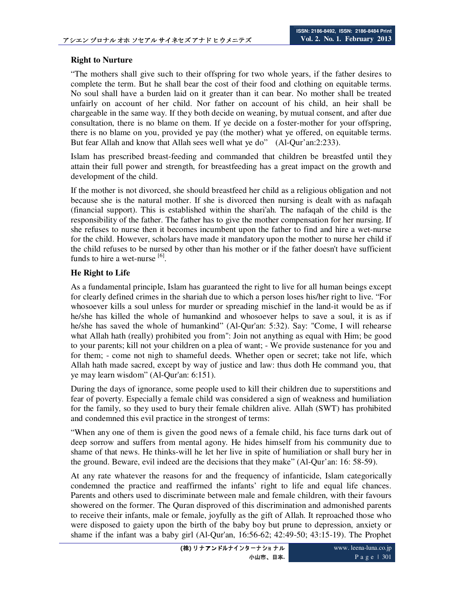## **Right to Nurture**

"The mothers shall give such to their offspring for two whole years, if the father desires to complete the term. But he shall bear the cost of their food and clothing on equitable terms. No soul shall have a burden laid on it greater than it can bear. No mother shall be treated unfairly on account of her child. Nor father on account of his child, an heir shall be chargeable in the same way. If they both decide on weaning, by mutual consent, and after due consultation, there is no blame on them. If ye decide on a foster-mother for your offspring, there is no blame on you, provided ye pay (the mother) what ye offered, on equitable terms. But fear Allah and know that Allah sees well what ye do" (Al-Qur'an:2:233).

Islam has prescribed breast-feeding and commanded that children be breastfed until they attain their full power and strength, for breastfeeding has a great impact on the growth and development of the child.

If the mother is not divorced, she should breastfeed her child as a religious obligation and not because she is the natural mother. If she is divorced then nursing is dealt with as nafaqah (financial support). This is established within the shari'ah. The nafaqah of the child is the responsibility of the father. The father has to give the mother compensation for her nursing. If she refuses to nurse then it becomes incumbent upon the father to find and hire a wet-nurse for the child. However, scholars have made it mandatory upon the mother to nurse her child if the child refuses to be nursed by other than his mother or if the father doesn't have sufficient funds to hire a wet-nurse  $^{[6]}$ .

### **He Right to Life**

As a fundamental principle, Islam has guaranteed the right to live for all human beings except for clearly defined crimes in the shariah due to which a person loses his/her right to live. "For whosoever kills a soul unless for murder or spreading mischief in the land-it would be as if he/she has killed the whole of humankind and whosoever helps to save a soul, it is as if he/she has saved the whole of humankind" (Al-Qur'an: 5:32). Say: "Come, I will rehearse what Allah hath (really) prohibited you from": Join not anything as equal with Him; be good to your parents; kill not your children on a plea of want; - We provide sustenance for you and for them; - come not nigh to shameful deeds. Whether open or secret; take not life, which Allah hath made sacred, except by way of justice and law: thus doth He command you, that ye may learn wisdom" (Al-Qur'an: 6:151).

During the days of ignorance, some people used to kill their children due to superstitions and fear of poverty. Especially a female child was considered a sign of weakness and humiliation for the family, so they used to bury their female children alive. Allah (SWT) has prohibited and condemned this evil practice in the strongest of terms:

"When any one of them is given the good news of a female child, his face turns dark out of deep sorrow and suffers from mental agony. He hides himself from his community due to shame of that news. He thinks-will he let her live in spite of humiliation or shall bury her in the ground. Beware, evil indeed are the decisions that they make" (Al-Qur'an: 16: 58-59).

At any rate whatever the reasons for and the frequency of infanticide, Islam categorically condemned the practice and reaffirmed the infants' right to life and equal life chances. Parents and others used to discriminate between male and female children, with their favours showered on the former. The Quran disproved of this discrimination and admonished parents to receive their infants, male or female, joyfully as the gift of Allah. It reproached those who were disposed to gaiety upon the birth of the baby boy but prune to depression, anxiety or shame if the infant was a baby girl (Al-Qur'an, 16:56-62; 42:49-50; 43:15-19). The Prophet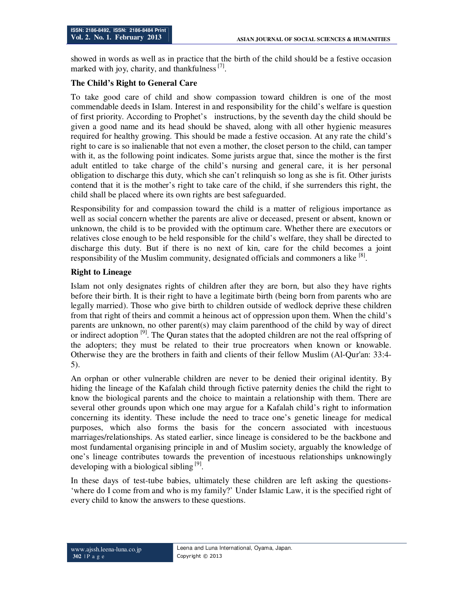showed in words as well as in practice that the birth of the child should be a festive occasion marked with joy, charity, and thankfulness<sup>[7]</sup>.

## **The Child's Right to General Care**

To take good care of child and show compassion toward children is one of the most commendable deeds in Islam. Interest in and responsibility for the child's welfare is question of first priority. According to Prophet's instructions, by the seventh day the child should be given a good name and its head should be shaved, along with all other hygienic measures required for healthy growing. This should be made a festive occasion. At any rate the child's right to care is so inalienable that not even a mother, the closet person to the child, can tamper with it, as the following point indicates. Some jurists argue that, since the mother is the first adult entitled to take charge of the child's nursing and general care, it is her personal obligation to discharge this duty, which she can't relinquish so long as she is fit. Other jurists contend that it is the mother's right to take care of the child, if she surrenders this right, the child shall be placed where its own rights are best safeguarded.

Responsibility for and compassion toward the child is a matter of religious importance as well as social concern whether the parents are alive or deceased, present or absent, known or unknown, the child is to be provided with the optimum care. Whether there are executors or relatives close enough to be held responsible for the child's welfare, they shall be directed to discharge this duty. But if there is no next of kin, care for the child becomes a joint responsibility of the Muslim community, designated officials and commoners a like <sup>[8]</sup>.

## **Right to Lineage**

Islam not only designates rights of children after they are born, but also they have rights before their birth. It is their right to have a legitimate birth (being born from parents who are legally married). Those who give birth to children outside of wedlock deprive these children from that right of theirs and commit a heinous act of oppression upon them. When the child's parents are unknown, no other parent(s) may claim parenthood of the child by way of direct or indirect adoption <sup>[9]</sup>. The Quran states that the adopted children are not the real offspring of the adopters; they must be related to their true procreators when known or knowable. Otherwise they are the brothers in faith and clients of their fellow Muslim (Al-Qur'an: 33:4- 5).

An orphan or other vulnerable children are never to be denied their original identity. By hiding the lineage of the Kafalah child through fictive paternity denies the child the right to know the biological parents and the choice to maintain a relationship with them. There are several other grounds upon which one may argue for a Kafalah child's right to information concerning its identity. These include the need to trace one's genetic lineage for medical purposes, which also forms the basis for the concern associated with incestuous marriages/relationships. As stated earlier, since lineage is considered to be the backbone and most fundamental organising principle in and of Muslim society, arguably the knowledge of one's lineage contributes towards the prevention of incestuous relationships unknowingly developing with a biological sibling<sup>[9]</sup>.

In these days of test-tube babies, ultimately these children are left asking the questions- 'where do I come from and who is my family?' Under Islamic Law, it is the specified right of every child to know the answers to these questions.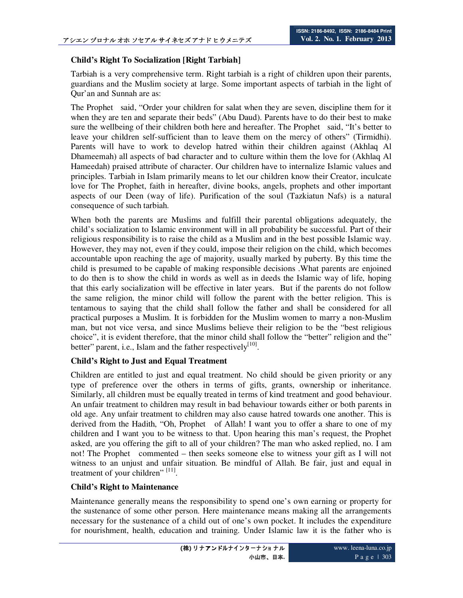### **Child's Right To Socialization [Right Tarbiah]**

Tarbiah is a very comprehensive term. Right tarbiah is a right of children upon their parents, guardians and the Muslim society at large. Some important aspects of tarbiah in the light of Qur'an and Sunnah are as:

The Prophet said, "Order your children for salat when they are seven, discipline them for it when they are ten and separate their beds" (Abu Daud). Parents have to do their best to make sure the wellbeing of their children both here and hereafter. The Prophet said, "It's better to leave your children self-sufficient than to leave them on the mercy of others" (Tirmidhi). Parents will have to work to develop hatred within their children against (Akhlaq Al Dhameemah) all aspects of bad character and to culture within them the love for (Akhlaq Al Hameedah) praised attribute of character. Our children have to internalize Islamic values and principles. Tarbiah in Islam primarily means to let our children know their Creator, inculcate love for The Prophet, faith in hereafter, divine books, angels, prophets and other important aspects of our Deen (way of life). Purification of the soul (Tazkiatun Nafs) is a natural consequence of such tarbiah.

When both the parents are Muslims and fulfill their parental obligations adequately, the child's socialization to Islamic environment will in all probability be successful. Part of their religious responsibility is to raise the child as a Muslim and in the best possible Islamic way. However, they may not, even if they could, impose their religion on the child, which becomes accountable upon reaching the age of majority, usually marked by puberty. By this time the child is presumed to be capable of making responsible decisions .What parents are enjoined to do then is to show the child in words as well as in deeds the Islamic way of life, hoping that this early socialization will be effective in later years. But if the parents do not follow the same religion, the minor child will follow the parent with the better religion. This is tentamous to saying that the child shall follow the father and shall be considered for all practical purposes a Muslim. It is forbidden for the Muslim women to marry a non-Muslim man, but not vice versa, and since Muslims believe their religion to be the "best religious choice", it is evident therefore, that the minor child shall follow the "better" religion and the" better" parent, i.e., Islam and the father respectively $[10]$ .

## **Child's Right to Just and Equal Treatment**

Children are entitled to just and equal treatment. No child should be given priority or any type of preference over the others in terms of gifts, grants, ownership or inheritance. Similarly, all children must be equally treated in terms of kind treatment and good behaviour. An unfair treatment to children may result in bad behaviour towards either or both parents in old age. Any unfair treatment to children may also cause hatred towards one another. This is derived from the Hadith, "Oh, Prophet of Allah! I want you to offer a share to one of my children and I want you to be witness to that. Upon hearing this man's request, the Prophet asked, are you offering the gift to all of your children? The man who asked replied, no. I am not! The Prophet commented – then seeks someone else to witness your gift as I will not witness to an unjust and unfair situation. Be mindful of Allah. Be fair, just and equal in treatment of your children"<sup>[11]</sup>.

#### **Child's Right to Maintenance**

Maintenance generally means the responsibility to spend one's own earning or property for the sustenance of some other person. Here maintenance means making all the arrangements necessary for the sustenance of a child out of one's own pocket. It includes the expenditure for nourishment, health, education and training. Under Islamic law it is the father who is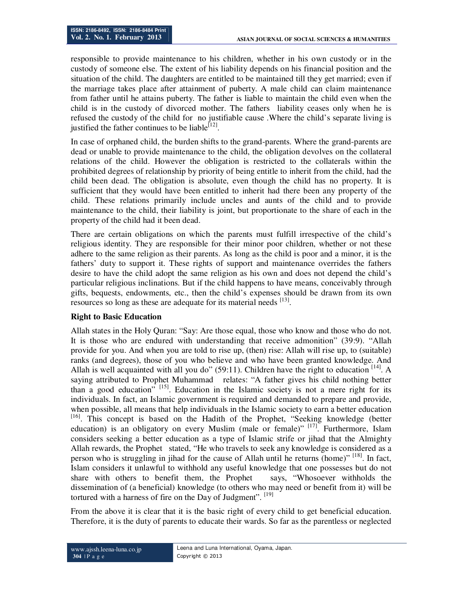responsible to provide maintenance to his children, whether in his own custody or in the custody of someone else. The extent of his liability depends on his financial position and the situation of the child. The daughters are entitled to be maintained till they get married; even if the marriage takes place after attainment of puberty. A male child can claim maintenance from father until he attains puberty. The father is liable to maintain the child even when the child is in the custody of divorced mother. The fathers liability ceases only when he is refused the custody of the child for no justifiable cause .Where the child's separate living is justified the father continues to be liable<sup>[12]</sup>.

In case of orphaned child, the burden shifts to the grand-parents. Where the grand-parents are dead or unable to provide maintenance to the child, the obligation devolves on the collateral relations of the child. However the obligation is restricted to the collaterals within the prohibited degrees of relationship by priority of being entitle to inherit from the child, had the child been dead. The obligation is absolute, even though the child has no property. It is sufficient that they would have been entitled to inherit had there been any property of the child. These relations primarily include uncles and aunts of the child and to provide maintenance to the child, their liability is joint, but proportionate to the share of each in the property of the child had it been dead.

There are certain obligations on which the parents must fulfill irrespective of the child's religious identity. They are responsible for their minor poor children, whether or not these adhere to the same religion as their parents. As long as the child is poor and a minor, it is the fathers' duty to support it. These rights of support and maintenance overrides the fathers desire to have the child adopt the same religion as his own and does not depend the child's particular religious inclinations. But if the child happens to have means, conceivably through gifts, bequests, endowments, etc., then the child's expenses should be drawn from its own resources so long as these are adequate for its material needs [13].

## **Right to Basic Education**

Allah states in the Holy Quran: "Say: Are those equal, those who know and those who do not. It is those who are endured with understanding that receive admonition" (39:9). "Allah provide for you. And when you are told to rise up, (then) rise: Allah will rise up, to (suitable) ranks (and degrees), those of you who believe and who have been granted knowledge. And Allah is well acquainted with all you do" (59:11). Children have the right to education  $^{[14]}$ . A saying attributed to Prophet Muhammad relates: "A father gives his child nothing better than a good education"  $^{[15]}$ . Education in the Islamic society is not a mere right for its individuals. In fact, an Islamic government is required and demanded to prepare and provide, when possible, all means that help individuals in the Islamic society to earn a better education [16]. This concept is based on the Hadith of the Prophet, "Seeking knowledge (better education) is an obligatory on every Muslim (male or female)" [17]. Furthermore, Islam considers seeking a better education as a type of Islamic strife or jihad that the Almighty Allah rewards, the Prophet stated, "He who travels to seek any knowledge is considered as a person who is struggling in jihad for the cause of Allah until he returns (home)<sup>" [18]</sup>. In fact, Islam considers it unlawful to withhold any useful knowledge that one possesses but do not share with others to benefit them, the Prophet says, "Whosoever withholds the dissemination of (a beneficial) knowledge (to others who may need or benefit from it) will be tortured with a harness of fire on the Day of Judgment". <sup>[19]</sup>

From the above it is clear that it is the basic right of every child to get beneficial education. Therefore, it is the duty of parents to educate their wards. So far as the parentless or neglected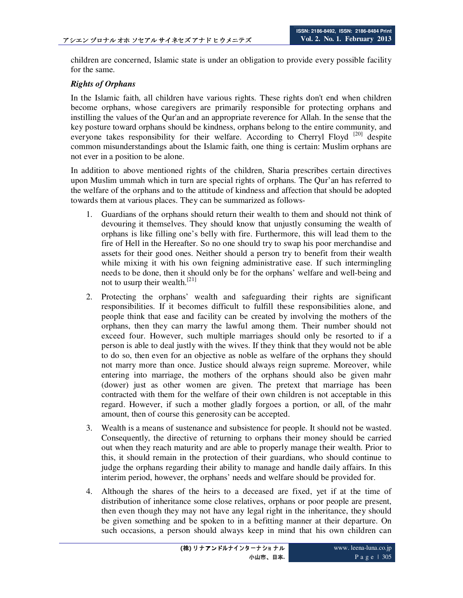children are concerned, Islamic state is under an obligation to provide every possible facility for the same.

#### *Rights of Orphans*

In the Islamic faith, all children have various rights. These rights don't end when children become orphans, whose caregivers are primarily responsible for protecting orphans and instilling the values of the Qur'an and an appropriate reverence for Allah. In the sense that the key posture toward orphans should be kindness, orphans belong to the entire community, and everyone takes responsibility for their welfare. According to Cherryl Floyd<sup>[20]</sup> despite common misunderstandings about the Islamic faith, one thing is certain: Muslim orphans are not ever in a position to be alone.

In addition to above mentioned rights of the children, Sharia prescribes certain directives upon Muslim ummah which in turn are special rights of orphans. The Qur'an has referred to the welfare of the orphans and to the attitude of kindness and affection that should be adopted towards them at various places. They can be summarized as follows-

- 1. Guardians of the orphans should return their wealth to them and should not think of devouring it themselves. They should know that unjustly consuming the wealth of orphans is like filling one's belly with fire. Furthermore, this will lead them to the fire of Hell in the Hereafter. So no one should try to swap his poor merchandise and assets for their good ones. Neither should a person try to benefit from their wealth while mixing it with his own feigning administrative ease. If such intermingling needs to be done, then it should only be for the orphans' welfare and well-being and not to usurp their wealth.[21]
- 2. Protecting the orphans' wealth and safeguarding their rights are significant responsibilities. If it becomes difficult to fulfill these responsibilities alone, and people think that ease and facility can be created by involving the mothers of the orphans, then they can marry the lawful among them. Their number should not exceed four. However, such multiple marriages should only be resorted to if a person is able to deal justly with the wives. If they think that they would not be able to do so, then even for an objective as noble as welfare of the orphans they should not marry more than once. Justice should always reign supreme. Moreover, while entering into marriage, the mothers of the orphans should also be given mahr (dower) just as other women are given. The pretext that marriage has been contracted with them for the welfare of their own children is not acceptable in this regard. However, if such a mother gladly forgoes a portion, or all, of the mahr amount, then of course this generosity can be accepted.
- 3. Wealth is a means of sustenance and subsistence for people. It should not be wasted. Consequently, the directive of returning to orphans their money should be carried out when they reach maturity and are able to properly manage their wealth. Prior to this, it should remain in the protection of their guardians, who should continue to judge the orphans regarding their ability to manage and handle daily affairs. In this interim period, however, the orphans' needs and welfare should be provided for.
- 4. Although the shares of the heirs to a deceased are fixed, yet if at the time of distribution of inheritance some close relatives, orphans or poor people are present, then even though they may not have any legal right in the inheritance, they should be given something and be spoken to in a befitting manner at their departure. On such occasions, a person should always keep in mind that his own children can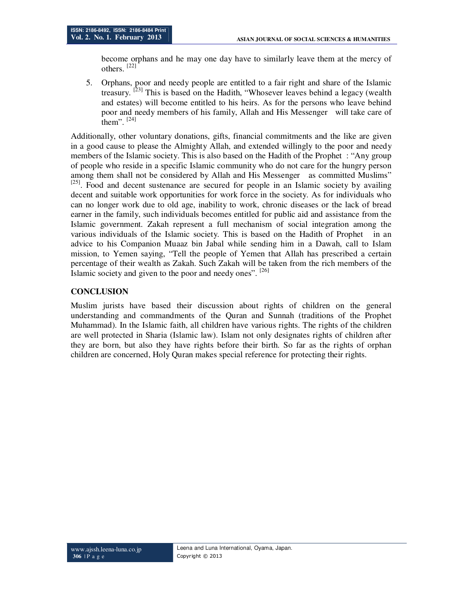become orphans and he may one day have to similarly leave them at the mercy of others.  $[22]$ 

5. Orphans, poor and needy people are entitled to a fair right and share of the Islamic treasury. <sup>[23]</sup> This is based on the Hadith, "Whosever leaves behind a legacy (wealth and estates) will become entitled to his heirs. As for the persons who leave behind poor and needy members of his family, Allah and His Messenger will take care of them".  $[24]$ 

Additionally, other voluntary donations, gifts, financial commitments and the like are given in a good cause to please the Almighty Allah, and extended willingly to the poor and needy members of the Islamic society. This is also based on the Hadith of the Prophet : "Any group of people who reside in a specific Islamic community who do not care for the hungry person among them shall not be considered by Allah and His Messenger as committed Muslims"  $[25]$ . Food and decent sustenance are secured for people in an Islamic society by availing decent and suitable work opportunities for work force in the society. As for individuals who can no longer work due to old age, inability to work, chronic diseases or the lack of bread earner in the family, such individuals becomes entitled for public aid and assistance from the Islamic government. Zakah represent a full mechanism of social integration among the various individuals of the Islamic society. This is based on the Hadith of Prophet in an advice to his Companion Muaaz bin Jabal while sending him in a Dawah, call to Islam mission, to Yemen saying, "Tell the people of Yemen that Allah has prescribed a certain percentage of their wealth as Zakah. Such Zakah will be taken from the rich members of the Islamic society and given to the poor and needy ones". [26]

### **CONCLUSION**

Muslim jurists have based their discussion about rights of children on the general understanding and commandments of the Quran and Sunnah (traditions of the Prophet Muhammad). In the Islamic faith, all children have various rights. The rights of the children are well protected in Sharia (Islamic law). Islam not only designates rights of children after they are born, but also they have rights before their birth. So far as the rights of orphan children are concerned, Holy Quran makes special reference for protecting their rights.